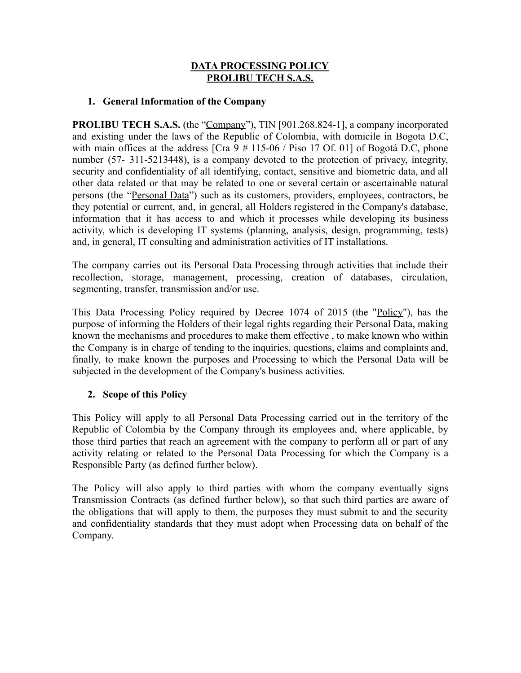#### **DATA PROCESSING POLICY PROLIBU TECH S.A.S.**

#### **1. General Information of the Company**

**PROLIBU TECH S.A.S.** (the "Company"), TIN [901.268.824-1], a company incorporated and existing under the laws of the Republic of Colombia, with domicile in Bogota D.C, with main offices at the address [Cra 9 # 115-06 / Piso 17 Of. 01] of Bogotá D.C, phone number (57- 311-5213448), is a company devoted to the protection of privacy, integrity, security and confidentiality of all identifying, contact, sensitive and biometric data, and all other data related or that may be related to one or several certain or ascertainable natural persons (the "Personal Data") such as its customers, providers, employees, contractors, be they potential or current, and, in general, all Holders registered in the Company's database, information that it has access to and which it processes while developing its business activity, which is developing IT systems (planning, analysis, design, programming, tests) and, in general, IT consulting and administration activities of IT installations.

The company carries out its Personal Data Processing through activities that include their recollection, storage, management, processing, creation of databases, circulation, segmenting, transfer, transmission and/or use.

This Data Processing Policy required by Decree 1074 of 2015 (the "Policy"), has the purpose of informing the Holders of their legal rights regarding their Personal Data, making known the mechanisms and procedures to make them effective , to make known who within the Company is in charge of tending to the inquiries, questions, claims and complaints and, finally, to make known the purposes and Processing to which the Personal Data will be subjected in the development of the Company's business activities.

## **2. Scope of this Policy**

This Policy will apply to all Personal Data Processing carried out in the territory of the Republic of Colombia by the Company through its employees and, where applicable, by those third parties that reach an agreement with the company to perform all or part of any activity relating or related to the Personal Data Processing for which the Company is a Responsible Party (as defined further below).

The Policy will also apply to third parties with whom the company eventually signs Transmission Contracts (as defined further below), so that such third parties are aware of the obligations that will apply to them, the purposes they must submit to and the security and confidentiality standards that they must adopt when Processing data on behalf of the Company.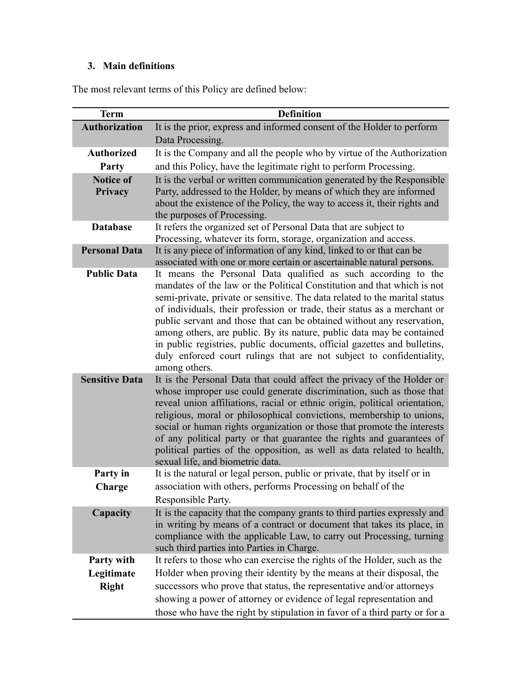# **3. Main definitions**

The most relevant terms of this Policy are defined below:

| <b>Term</b>           | <b>Definition</b>                                                                                                                                                                                                                                                                                                                                                                                                                                                                                                                                                                                                          |  |
|-----------------------|----------------------------------------------------------------------------------------------------------------------------------------------------------------------------------------------------------------------------------------------------------------------------------------------------------------------------------------------------------------------------------------------------------------------------------------------------------------------------------------------------------------------------------------------------------------------------------------------------------------------------|--|
| <b>Authorization</b>  | It is the prior, express and informed consent of the Holder to perform                                                                                                                                                                                                                                                                                                                                                                                                                                                                                                                                                     |  |
|                       | Data Processing.                                                                                                                                                                                                                                                                                                                                                                                                                                                                                                                                                                                                           |  |
| <b>Authorized</b>     | It is the Company and all the people who by virtue of the Authorization                                                                                                                                                                                                                                                                                                                                                                                                                                                                                                                                                    |  |
| Party                 | and this Policy, have the legitimate right to perform Processing.                                                                                                                                                                                                                                                                                                                                                                                                                                                                                                                                                          |  |
| <b>Notice of</b>      | It is the verbal or written communication generated by the Responsible                                                                                                                                                                                                                                                                                                                                                                                                                                                                                                                                                     |  |
| Privacy               | Party, addressed to the Holder, by means of which they are informed<br>about the existence of the Policy, the way to access it, their rights and<br>the purposes of Processing.                                                                                                                                                                                                                                                                                                                                                                                                                                            |  |
| <b>Database</b>       | It refers the organized set of Personal Data that are subject to<br>Processing, whatever its form, storage, organization and access.                                                                                                                                                                                                                                                                                                                                                                                                                                                                                       |  |
| <b>Personal Data</b>  | It is any piece of information of any kind, linked to or that can be<br>associated with one or more certain or ascertainable natural persons.                                                                                                                                                                                                                                                                                                                                                                                                                                                                              |  |
| <b>Public Data</b>    | It means the Personal Data qualified as such according to the<br>mandates of the law or the Political Constitution and that which is not<br>semi-private, private or sensitive. The data related to the marital status<br>of individuals, their profession or trade, their status as a merchant or<br>public servant and those that can be obtained without any reservation,<br>among others, are public. By its nature, public data may be contained<br>in public registries, public documents, official gazettes and bulletins,<br>duly enforced court rulings that are not subject to confidentiality,<br>among others. |  |
| <b>Sensitive Data</b> | It is the Personal Data that could affect the privacy of the Holder or<br>whose improper use could generate discrimination, such as those that<br>reveal union affiliations, racial or ethnic origin, political orientation,<br>religious, moral or philosophical convictions, membership to unions,<br>social or human rights organization or those that promote the interests<br>of any political party or that guarantee the rights and guarantees of<br>political parties of the opposition, as well as data related to health,<br>sexual life, and biometric data.                                                    |  |
| Party in              | It is the natural or legal person, public or private, that by itself or in                                                                                                                                                                                                                                                                                                                                                                                                                                                                                                                                                 |  |
| Charge                | association with others, performs Processing on behalf of the                                                                                                                                                                                                                                                                                                                                                                                                                                                                                                                                                              |  |
|                       | Responsible Party.                                                                                                                                                                                                                                                                                                                                                                                                                                                                                                                                                                                                         |  |
| Capacity              | It is the capacity that the company grants to third parties expressly and<br>in writing by means of a contract or document that takes its place, in<br>compliance with the applicable Law, to carry out Processing, turning<br>such third parties into Parties in Charge.                                                                                                                                                                                                                                                                                                                                                  |  |
| Party with            | It refers to those who can exercise the rights of the Holder, such as the                                                                                                                                                                                                                                                                                                                                                                                                                                                                                                                                                  |  |
| Legitimate            | Holder when proving their identity by the means at their disposal, the                                                                                                                                                                                                                                                                                                                                                                                                                                                                                                                                                     |  |
| <b>Right</b>          | successors who prove that status, the representative and/or attorneys                                                                                                                                                                                                                                                                                                                                                                                                                                                                                                                                                      |  |
|                       | showing a power of attorney or evidence of legal representation and                                                                                                                                                                                                                                                                                                                                                                                                                                                                                                                                                        |  |
|                       | those who have the right by stipulation in favor of a third party or for a                                                                                                                                                                                                                                                                                                                                                                                                                                                                                                                                                 |  |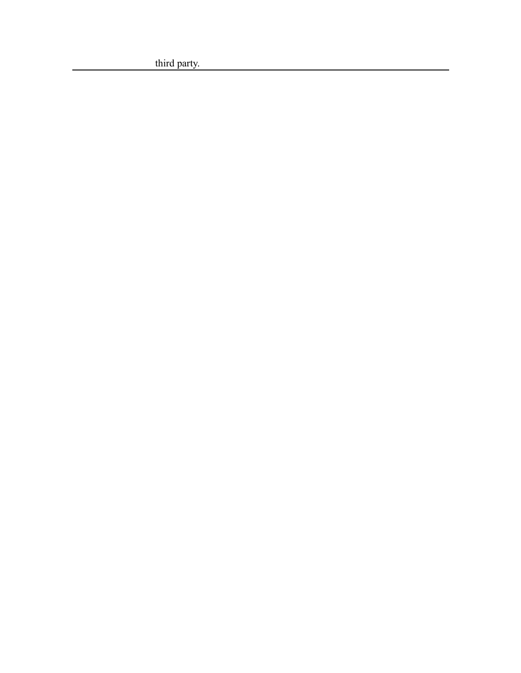third party.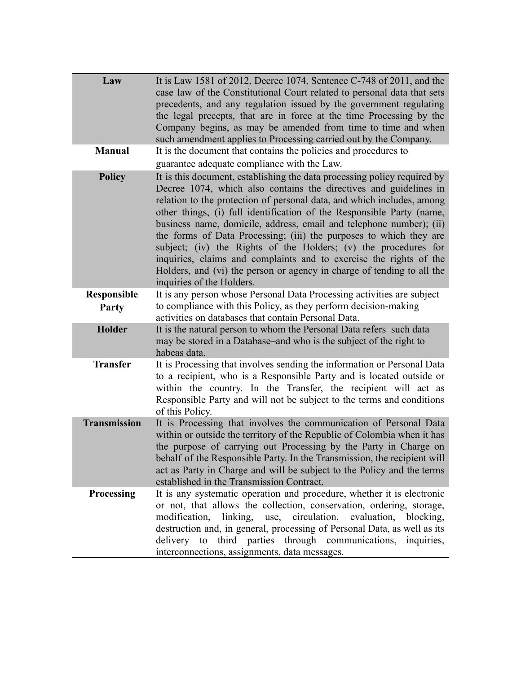| Law                         | It is Law 1581 of 2012, Decree 1074, Sentence $C-748$ of 2011, and the<br>case law of the Constitutional Court related to personal data that sets<br>precedents, and any regulation issued by the government regulating<br>the legal precepts, that are in force at the time Processing by the<br>Company begins, as may be amended from time to time and when<br>such amendment applies to Processing carried out by the Company.                                                                                                                                                                                                                                                            |
|-----------------------------|-----------------------------------------------------------------------------------------------------------------------------------------------------------------------------------------------------------------------------------------------------------------------------------------------------------------------------------------------------------------------------------------------------------------------------------------------------------------------------------------------------------------------------------------------------------------------------------------------------------------------------------------------------------------------------------------------|
| <b>Manual</b>               | It is the document that contains the policies and procedures to<br>guarantee adequate compliance with the Law.                                                                                                                                                                                                                                                                                                                                                                                                                                                                                                                                                                                |
| <b>Policy</b>               | It is this document, establishing the data processing policy required by<br>Decree 1074, which also contains the directives and guidelines in<br>relation to the protection of personal data, and which includes, among<br>other things, (i) full identification of the Responsible Party (name,<br>business name, domicile, address, email and telephone number); (ii)<br>the forms of Data Processing; (iii) the purposes to which they are<br>subject; (iv) the Rights of the Holders; (v) the procedures for<br>inquiries, claims and complaints and to exercise the rights of the<br>Holders, and (vi) the person or agency in charge of tending to all the<br>inquiries of the Holders. |
| <b>Responsible</b><br>Party | It is any person whose Personal Data Processing activities are subject<br>to compliance with this Policy, as they perform decision-making<br>activities on databases that contain Personal Data.                                                                                                                                                                                                                                                                                                                                                                                                                                                                                              |
| <b>Holder</b>               | It is the natural person to whom the Personal Data refers-such data<br>may be stored in a Database–and who is the subject of the right to<br>habeas data.                                                                                                                                                                                                                                                                                                                                                                                                                                                                                                                                     |
| <b>Transfer</b>             | It is Processing that involves sending the information or Personal Data<br>to a recipient, who is a Responsible Party and is located outside or<br>within the country. In the Transfer, the recipient will act as<br>Responsible Party and will not be subject to the terms and conditions<br>of this Policy.                                                                                                                                                                                                                                                                                                                                                                                 |
| <b>Transmission</b>         | It is Processing that involves the communication of Personal Data<br>within or outside the territory of the Republic of Colombia when it has<br>the purpose of carrying out Processing by the Party in Charge on<br>behalf of the Responsible Party. In the Transmission, the recipient will<br>act as Party in Charge and will be subject to the Policy and the terms<br>established in the Transmission Contract.                                                                                                                                                                                                                                                                           |
| <b>Processing</b>           | It is any systematic operation and procedure, whether it is electronic<br>or not, that allows the collection, conservation, ordering, storage,<br>use, circulation,<br>modification, linking,<br>evaluation,<br>blocking.<br>destruction and, in general, processing of Personal Data, as well as its<br>delivery to third parties through communications, inquiries,<br>interconnections, assignments, data messages.                                                                                                                                                                                                                                                                        |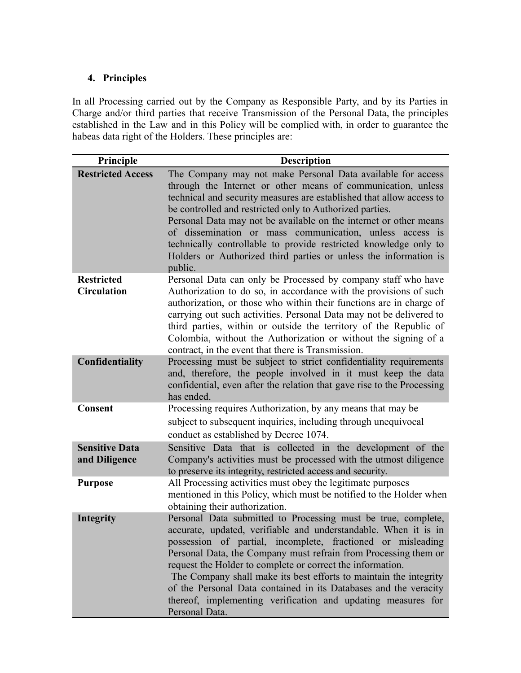## **4. Principles**

In all Processing carried out by the Company as Responsible Party, and by its Parties in Charge and/or third parties that receive Transmission of the Personal Data, the principles established in the Law and in this Policy will be complied with, in order to guarantee the habeas data right of the Holders. These principles are:

| Principle                               | <b>Description</b>                                                                                                                                                                                                                                                                                                                                                                                                                                                                                                                                          |
|-----------------------------------------|-------------------------------------------------------------------------------------------------------------------------------------------------------------------------------------------------------------------------------------------------------------------------------------------------------------------------------------------------------------------------------------------------------------------------------------------------------------------------------------------------------------------------------------------------------------|
| <b>Restricted Access</b>                | The Company may not make Personal Data available for access<br>through the Internet or other means of communication, unless<br>technical and security measures are established that allow access to<br>be controlled and restricted only to Authorized parties.<br>Personal Data may not be available on the internet or other means<br>of dissemination or mass communication, unless access is<br>technically controllable to provide restricted knowledge only to<br>Holders or Authorized third parties or unless the information is<br>public.         |
| <b>Restricted</b><br><b>Circulation</b> | Personal Data can only be Processed by company staff who have<br>Authorization to do so, in accordance with the provisions of such<br>authorization, or those who within their functions are in charge of<br>carrying out such activities. Personal Data may not be delivered to<br>third parties, within or outside the territory of the Republic of<br>Colombia, without the Authorization or without the signing of a<br>contract, in the event that there is Transmission.                                                                              |
| Confidentiality                         | Processing must be subject to strict confidentiality requirements<br>and, therefore, the people involved in it must keep the data<br>confidential, even after the relation that gave rise to the Processing<br>has ended.                                                                                                                                                                                                                                                                                                                                   |
| <b>Consent</b>                          | Processing requires Authorization, by any means that may be<br>subject to subsequent inquiries, including through unequivocal<br>conduct as established by Decree 1074.                                                                                                                                                                                                                                                                                                                                                                                     |
| <b>Sensitive Data</b><br>and Diligence  | Sensitive Data that is collected in the development of the<br>Company's activities must be processed with the utmost diligence<br>to preserve its integrity, restricted access and security.                                                                                                                                                                                                                                                                                                                                                                |
| <b>Purpose</b>                          | All Processing activities must obey the legitimate purposes<br>mentioned in this Policy, which must be notified to the Holder when<br>obtaining their authorization.                                                                                                                                                                                                                                                                                                                                                                                        |
| <b>Integrity</b>                        | Personal Data submitted to Processing must be true, complete,<br>accurate, updated, verifiable and understandable. When it is in<br>possession of partial, incomplete, fractioned or misleading<br>Personal Data, the Company must refrain from Processing them or<br>request the Holder to complete or correct the information.<br>The Company shall make its best efforts to maintain the integrity<br>of the Personal Data contained in its Databases and the veracity<br>thereof, implementing verification and updating measures for<br>Personal Data. |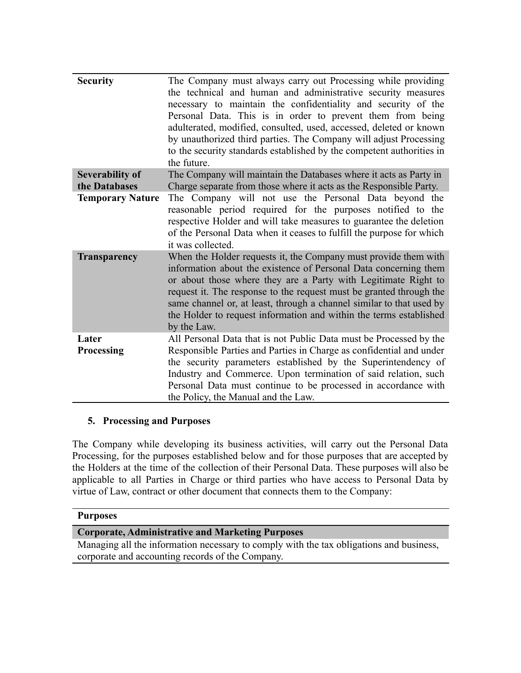| <b>Security</b>         | The Company must always carry out Processing while providing<br>the technical and human and administrative security measures<br>necessary to maintain the confidentiality and security of the<br>Personal Data. This is in order to prevent them from being<br>adulterated, modified, consulted, used, accessed, deleted or known<br>by unauthorized third parties. The Company will adjust Processing<br>to the security standards established by the competent authorities in<br>the future. |
|-------------------------|------------------------------------------------------------------------------------------------------------------------------------------------------------------------------------------------------------------------------------------------------------------------------------------------------------------------------------------------------------------------------------------------------------------------------------------------------------------------------------------------|
| <b>Severability of</b>  | The Company will maintain the Databases where it acts as Party in                                                                                                                                                                                                                                                                                                                                                                                                                              |
| the Databases           | Charge separate from those where it acts as the Responsible Party.                                                                                                                                                                                                                                                                                                                                                                                                                             |
| <b>Temporary Nature</b> | The Company will not use the Personal Data beyond the<br>reasonable period required for the purposes notified to the<br>respective Holder and will take measures to guarantee the deletion<br>of the Personal Data when it ceases to fulfill the purpose for which<br>it was collected.                                                                                                                                                                                                        |
| <b>Transparency</b>     | When the Holder requests it, the Company must provide them with<br>information about the existence of Personal Data concerning them<br>or about those where they are a Party with Legitimate Right to<br>request it. The response to the request must be granted through the<br>same channel or, at least, through a channel similar to that used by<br>the Holder to request information and within the terms established<br>by the Law.                                                      |
| Later                   | All Personal Data that is not Public Data must be Processed by the                                                                                                                                                                                                                                                                                                                                                                                                                             |
| <b>Processing</b>       | Responsible Parties and Parties in Charge as confidential and under                                                                                                                                                                                                                                                                                                                                                                                                                            |
|                         | the security parameters established by the Superintendency of                                                                                                                                                                                                                                                                                                                                                                                                                                  |
|                         | Industry and Commerce. Upon termination of said relation, such                                                                                                                                                                                                                                                                                                                                                                                                                                 |
|                         | Personal Data must continue to be processed in accordance with                                                                                                                                                                                                                                                                                                                                                                                                                                 |
|                         | the Policy, the Manual and the Law.                                                                                                                                                                                                                                                                                                                                                                                                                                                            |
|                         |                                                                                                                                                                                                                                                                                                                                                                                                                                                                                                |

## **5. Processing and Purposes**

The Company while developing its business activities, will carry out the Personal Data Processing, for the purposes established below and for those purposes that are accepted by the Holders at the time of the collection of their Personal Data. These purposes will also be applicable to all Parties in Charge or third parties who have access to Personal Data by virtue of Law, contract or other document that connects them to the Company:

## **Purposes**

## **Corporate, Administrative and Marketing Purposes**

Managing all the information necessary to comply with the tax obligations and business, corporate and accounting records of the Company.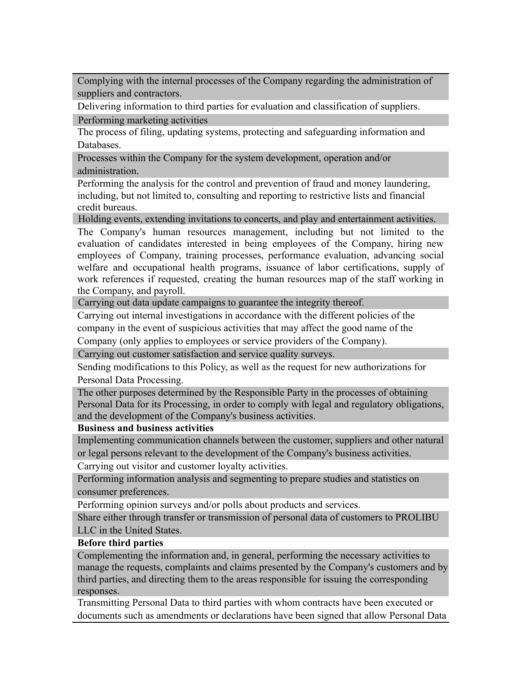Complying with the internal processes of the Company regarding the administration of suppliers and contractors.

Delivering information to third parties for evaluation and classification of suppliers.

Performing marketing activities

The process of filing, updating systems, protecting and safeguarding information and Databases.

Processes within the Company for the system development, operation and/or administration.

Performing the analysis for the control and prevention of fraud and money laundering, including, but not limited to, consulting and reporting to restrictive lists and financial credit bureaus.

Holding events, extending invitations to concerts, and play and entertainment activities.

The Company's human resources management, including but not limited to the evaluation of candidates interested in being employees of the Company, hiring new employees of Company, training processes, performance evaluation, advancing social welfare and occupational health programs, issuance of labor certifications, supply of work references if requested, creating the human resources map of the staff working in the Company, and payroll.

Carrying out data update campaigns to guarantee the integrity thereof.

Carrying out internal investigations in accordance with the different policies of the company in the event of suspicious activities that may affect the good name of the

Company (only applies to employees or service providers of the Company).

Carrying out customer satisfaction and service quality surveys.

Sending modifications to this Policy, as well as the request for new authorizations for Personal Data Processing.

The other purposes determined by the Responsible Party in the processes of obtaining Personal Data for its Processing, in order to comply with legal and regulatory obligations, and the development of the Company's business activities.

## **Business and business activities**

Implementing communication channels between the customer, suppliers and other natural or legal persons relevant to the development of the Company's business activities.

Carrying out visitor and customer loyalty activities.

Performing information analysis and segmenting to prepare studies and statistics on consumer preferences.

Performing opinion surveys and/or polls about products and services.

Share either through transfer or transmission of personal data of customers to PROLIBU LLC in the United States.

## **Before third parties**

Complementing the information and, in general, performing the necessary activities to manage the requests, complaints and claims presented by the Company's customers and by third parties, and directing them to the areas responsible for issuing the corresponding responses.

Transmitting Personal Data to third parties with whom contracts have been executed or documents such as amendments or declarations have been signed that allow Personal Data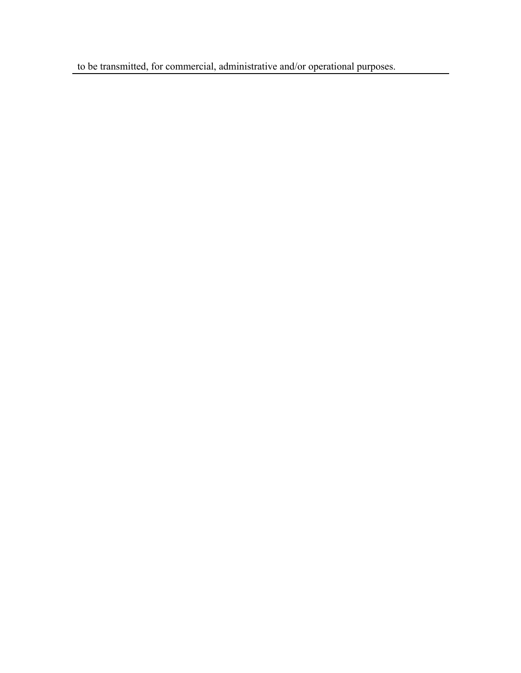to be transmitted, for commercial, administrative and/or operational purposes.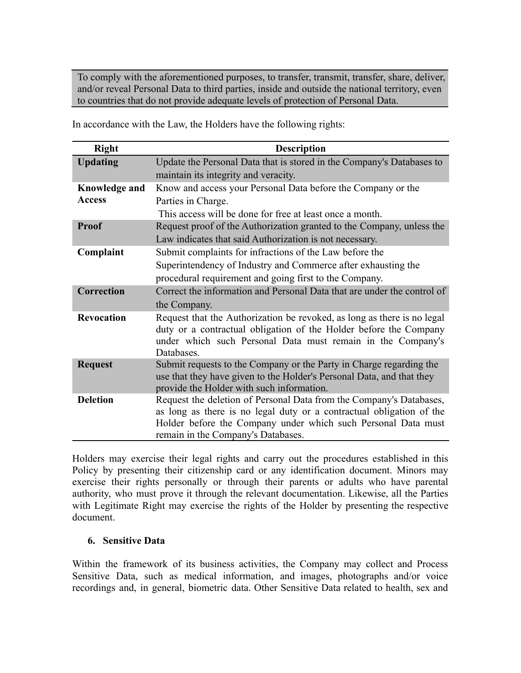To comply with the aforementioned purposes, to transfer, transmit, transfer, share, deliver, and/or reveal Personal Data to third parties, inside and outside the national territory, even to countries that do not provide adequate levels of protection of Personal Data.

In accordance with the Law, the Holders have the following rights:

| <b>Right</b>         | <b>Description</b>                                                                |  |
|----------------------|-----------------------------------------------------------------------------------|--|
| <b>Updating</b>      | Update the Personal Data that is stored in the Company's Databases to             |  |
|                      | maintain its integrity and veracity.                                              |  |
| <b>Knowledge and</b> | Know and access your Personal Data before the Company or the                      |  |
| <b>Access</b>        | Parties in Charge.                                                                |  |
|                      | This access will be done for free at least once a month.                          |  |
| <b>Proof</b>         | Request proof of the Authorization granted to the Company, unless the             |  |
|                      | Law indicates that said Authorization is not necessary.                           |  |
| Complaint            | Submit complaints for infractions of the Law before the                           |  |
|                      | Superintendency of Industry and Commerce after exhausting the                     |  |
|                      | procedural requirement and going first to the Company.                            |  |
| <b>Correction</b>    | Correct the information and Personal Data that are under the control of           |  |
|                      | the Company.                                                                      |  |
| <b>Revocation</b>    | Request that the Authorization be revoked, as long as there is no legal           |  |
|                      | duty or a contractual obligation of the Holder before the Company                 |  |
|                      | under which such Personal Data must remain in the Company's                       |  |
|                      | Databases.<br>Submit requests to the Company or the Party in Charge regarding the |  |
| <b>Request</b>       | use that they have given to the Holder's Personal Data, and that they             |  |
|                      | provide the Holder with such information.                                         |  |
| <b>Deletion</b>      | Request the deletion of Personal Data from the Company's Databases,               |  |
|                      | as long as there is no legal duty or a contractual obligation of the              |  |
|                      | Holder before the Company under which such Personal Data must                     |  |
|                      | remain in the Company's Databases.                                                |  |

Holders may exercise their legal rights and carry out the procedures established in this Policy by presenting their citizenship card or any identification document. Minors may exercise their rights personally or through their parents or adults who have parental authority, who must prove it through the relevant documentation. Likewise, all the Parties with Legitimate Right may exercise the rights of the Holder by presenting the respective document.

#### **6. Sensitive Data**

Within the framework of its business activities, the Company may collect and Process Sensitive Data, such as medical information, and images, photographs and/or voice recordings and, in general, biometric data. Other Sensitive Data related to health, sex and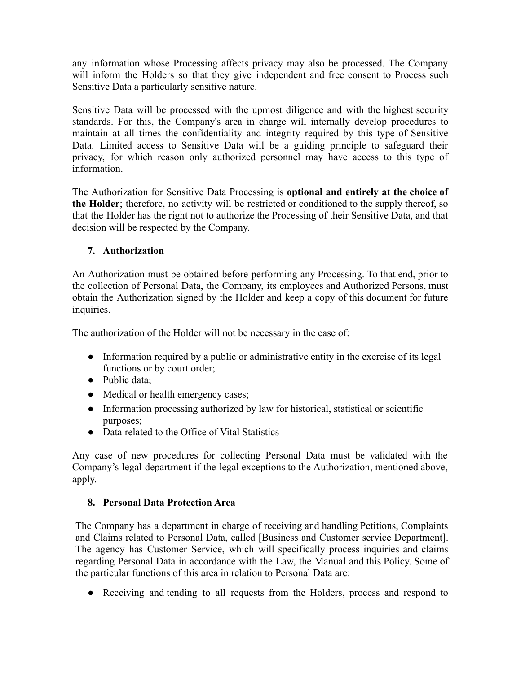any information whose Processing affects privacy may also be processed. The Company will inform the Holders so that they give independent and free consent to Process such Sensitive Data a particularly sensitive nature.

Sensitive Data will be processed with the upmost diligence and with the highest security standards. For this, the Company's area in charge will internally develop procedures to maintain at all times the confidentiality and integrity required by this type of Sensitive Data. Limited access to Sensitive Data will be a guiding principle to safeguard their privacy, for which reason only authorized personnel may have access to this type of information.

The Authorization for Sensitive Data Processing is **optional and entirely at the choice of the Holder**; therefore, no activity will be restricted or conditioned to the supply thereof, so that the Holder has the right not to authorize the Processing of their Sensitive Data, and that decision will be respected by the Company.

## **7. Authorization**

An Authorization must be obtained before performing any Processing. To that end, prior to the collection of Personal Data, the Company, its employees and Authorized Persons, must obtain the Authorization signed by the Holder and keep a copy of this document for future inquiries.

The authorization of the Holder will not be necessary in the case of:

- Information required by a public or administrative entity in the exercise of its legal functions or by court order;
- Public data;
- Medical or health emergency cases;
- Information processing authorized by law for historical, statistical or scientific purposes;
- Data related to the Office of Vital Statistics

Any case of new procedures for collecting Personal Data must be validated with the Company's legal department if the legal exceptions to the Authorization, mentioned above, apply.

## **8. Personal Data Protection Area**

The Company has a department in charge of receiving and handling Petitions, Complaints and Claims related to Personal Data, called [Business and Customer service Department]. The agency has Customer Service, which will specifically process inquiries and claims regarding Personal Data in accordance with the Law, the Manual and this Policy. Some of the particular functions of this area in relation to Personal Data are:

● Receiving and tending to all requests from the Holders, process and respond to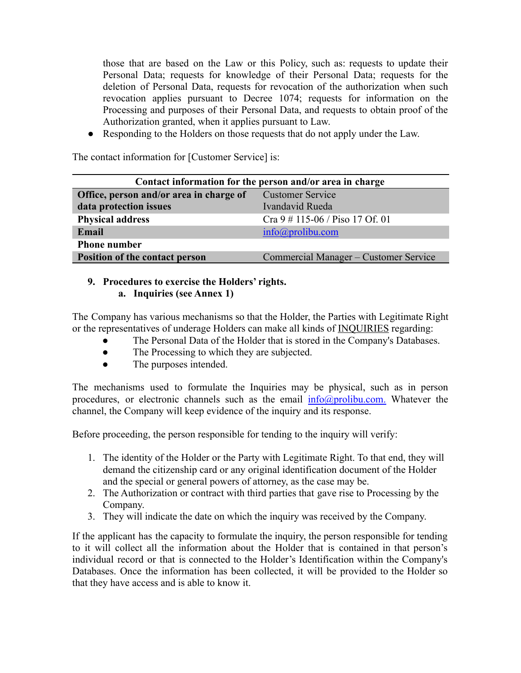those that are based on the Law or this Policy, such as: requests to update their Personal Data; requests for knowledge of their Personal Data; requests for the deletion of Personal Data, requests for revocation of the authorization when such revocation applies pursuant to Decree 1074; requests for information on the Processing and purposes of their Personal Data, and requests to obtain proof of the Authorization granted, when it applies pursuant to Law.

● Responding to the Holders on those requests that do not apply under the Law.

The contact information for [Customer Service] is:

| Contact information for the person and/or area in charge |                                       |  |  |
|----------------------------------------------------------|---------------------------------------|--|--|
| Office, person and/or area in charge of                  | <b>Customer Service</b>               |  |  |
| data protection issues                                   | Ivandavid Rueda                       |  |  |
| <b>Physical address</b>                                  | Cra $9 \# 115 - 06$ / Piso 17 Of. 01  |  |  |
| Email                                                    | $info(\omega)$ prolibu.com            |  |  |
| <b>Phone number</b>                                      |                                       |  |  |
| Position of the contact person                           | Commercial Manager – Customer Service |  |  |

## **9. Procedures to exercise the Holders' rights. a. Inquiries (see Annex 1)**

The Company has various mechanisms so that the Holder, the Parties with Legitimate Right or the representatives of underage Holders can make all kinds of INQUIRIES regarding:

- The Personal Data of the Holder that is stored in the Company's Databases.
- The Processing to which they are subjected.
- The purposes intended.

The mechanisms used to formulate the Inquiries may be physical, such as in person procedures, or electronic channels such as the email  $info@prolibu.com$ . Whatever the channel, the Company will keep evidence of the inquiry and its response.

Before proceeding, the person responsible for tending to the inquiry will verify:

- 1. The identity of the Holder or the Party with Legitimate Right. To that end, they will demand the citizenship card or any original identification document of the Holder and the special or general powers of attorney, as the case may be.
- 2. The Authorization or contract with third parties that gave rise to Processing by the Company.
- 3. They will indicate the date on which the inquiry was received by the Company.

If the applicant has the capacity to formulate the inquiry, the person responsible for tending to it will collect all the information about the Holder that is contained in that person's individual record or that is connected to the Holder's Identification within the Company's Databases. Once the information has been collected, it will be provided to the Holder so that they have access and is able to know it.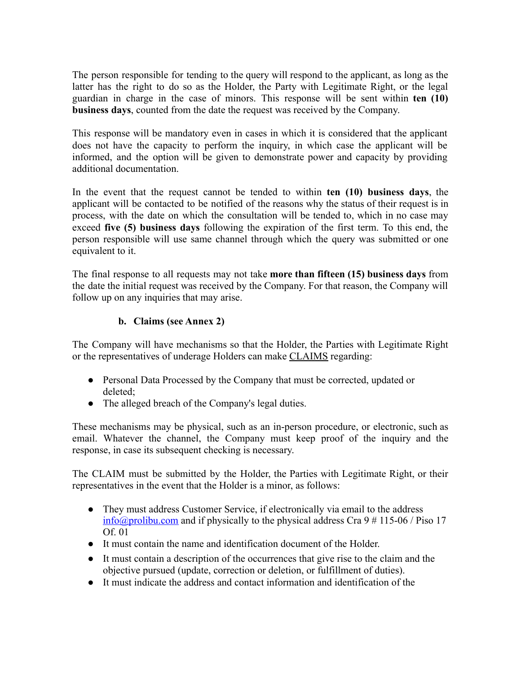The person responsible for tending to the query will respond to the applicant, as long as the latter has the right to do so as the Holder, the Party with Legitimate Right, or the legal guardian in charge in the case of minors. This response will be sent within **ten (10) business days**, counted from the date the request was received by the Company.

This response will be mandatory even in cases in which it is considered that the applicant does not have the capacity to perform the inquiry, in which case the applicant will be informed, and the option will be given to demonstrate power and capacity by providing additional documentation.

In the event that the request cannot be tended to within **ten (10) business days**, the applicant will be contacted to be notified of the reasons why the status of their request is in process, with the date on which the consultation will be tended to, which in no case may exceed **five (5) business days** following the expiration of the first term. To this end, the person responsible will use same channel through which the query was submitted or one equivalent to it.

The final response to all requests may not take **more than fifteen (15) business days** from the date the initial request was received by the Company. For that reason, the Company will follow up on any inquiries that may arise.

## **b. Claims (see Annex 2)**

The Company will have mechanisms so that the Holder, the Parties with Legitimate Right or the representatives of underage Holders can make CLAIMS regarding:

- Personal Data Processed by the Company that must be corrected, updated or deleted;
- The alleged breach of the Company's legal duties.

These mechanisms may be physical, such as an in-person procedure, or electronic, such as email. Whatever the channel, the Company must keep proof of the inquiry and the response, in case its subsequent checking is necessary.

The CLAIM must be submitted by the Holder, the Parties with Legitimate Right, or their representatives in the event that the Holder is a minor, as follows:

- They must address Customer Service, if electronically via email to the address  $\frac{\text{info}(\text{a}^{\text{pro}})}{n}$  and if physically to the physical address Cra 9 # 115-06 / Piso 17 Of. 01
- It must contain the name and identification document of the Holder.
- It must contain a description of the occurrences that give rise to the claim and the objective pursued (update, correction or deletion, or fulfillment of duties).
- It must indicate the address and contact information and identification of the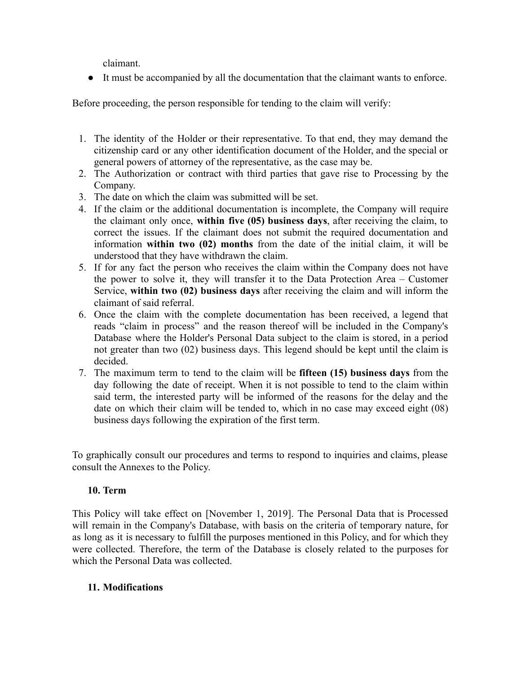claimant.

● It must be accompanied by all the documentation that the claimant wants to enforce.

Before proceeding, the person responsible for tending to the claim will verify:

- 1. The identity of the Holder or their representative. To that end, they may demand the citizenship card or any other identification document of the Holder, and the special or general powers of attorney of the representative, as the case may be.
- 2. The Authorization or contract with third parties that gave rise to Processing by the Company.
- 3. The date on which the claim was submitted will be set.
- 4. If the claim or the additional documentation is incomplete, the Company will require the claimant only once, **within five (05) business days**, after receiving the claim, to correct the issues. If the claimant does not submit the required documentation and information **within two (02) months** from the date of the initial claim, it will be understood that they have withdrawn the claim.
- 5. If for any fact the person who receives the claim within the Company does not have the power to solve it, they will transfer it to the Data Protection Area – Customer Service, **within two (02) business days** after receiving the claim and will inform the claimant of said referral.
- 6. Once the claim with the complete documentation has been received, a legend that reads "claim in process" and the reason thereof will be included in the Company's Database where the Holder's Personal Data subject to the claim is stored, in a period not greater than two (02) business days. This legend should be kept until the claim is decided.
- 7. The maximum term to tend to the claim will be **fifteen (15) business days** from the day following the date of receipt. When it is not possible to tend to the claim within said term, the interested party will be informed of the reasons for the delay and the date on which their claim will be tended to, which in no case may exceed eight (08) business days following the expiration of the first term.

To graphically consult our procedures and terms to respond to inquiries and claims, please consult the Annexes to the Policy.

## **10. Term**

This Policy will take effect on [November 1, 2019]. The Personal Data that is Processed will remain in the Company's Database, with basis on the criteria of temporary nature, for as long as it is necessary to fulfill the purposes mentioned in this Policy, and for which they were collected. Therefore, the term of the Database is closely related to the purposes for which the Personal Data was collected.

## **11. Modifications**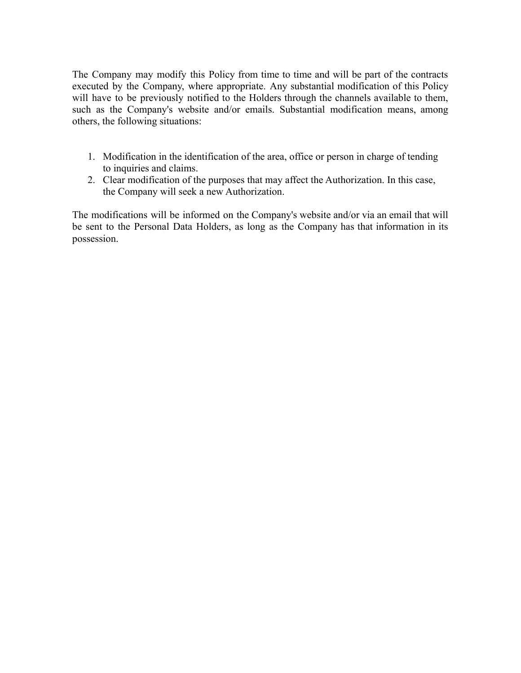The Company may modify this Policy from time to time and will be part of the contracts executed by the Company, where appropriate. Any substantial modification of this Policy will have to be previously notified to the Holders through the channels available to them, such as the Company's website and/or emails. Substantial modification means, among others, the following situations:

- 1. Modification in the identification of the area, office or person in charge of tending to inquiries and claims.
- 2. Clear modification of the purposes that may affect the Authorization. In this case, the Company will seek a new Authorization.

The modifications will be informed on the Company's website and/or via an email that will be sent to the Personal Data Holders, as long as the Company has that information in its possession.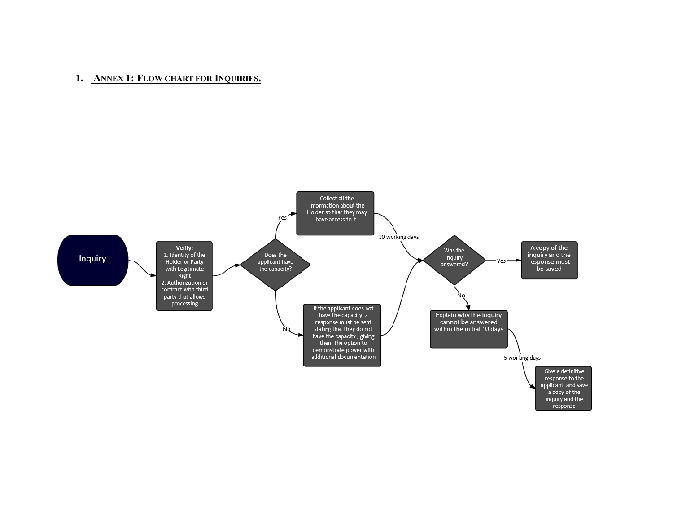## 1. ANNEX 1: FLOW CHART FOR INQUIRIES.